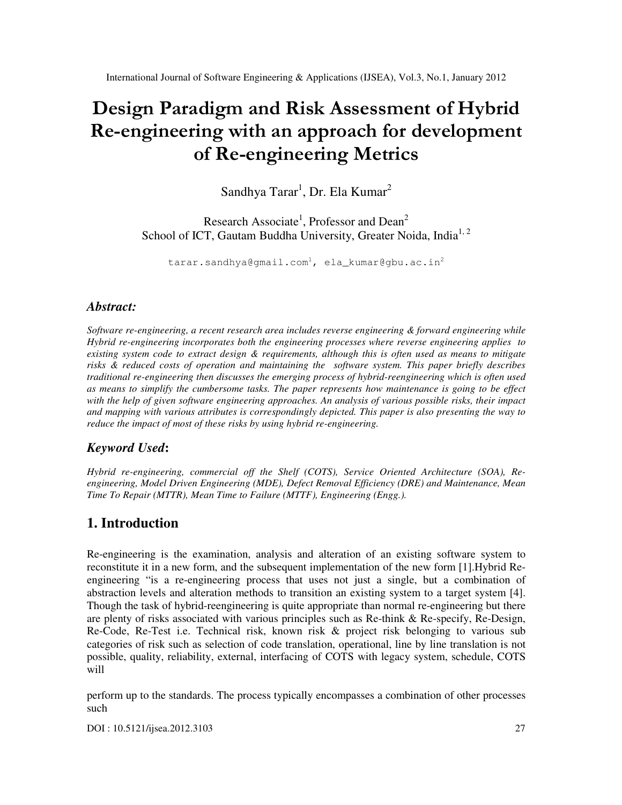# Design Paradigm and Risk Assessment of Hybrid Re-engineering with an approach for development of Re-engineering Metrics

Sandhya Tarar<sup>1</sup>, Dr. Ela Kumar<sup>2</sup>

Research Associate<sup>1</sup>, Professor and Dean<sup>2</sup> School of ICT, Gautam Buddha University, Greater Noida, India<sup>1, 2</sup>

tarar.sandhya@gmail.com<sup>1</sup>, ela\_kumar@gbu.ac.in<sup>2</sup>

### *Abstract:*

*Software re-engineering, a recent research area includes reverse engineering & forward engineering while Hybrid re-engineering incorporates both the engineering processes where reverse engineering applies to existing system code to extract design & requirements, although this is often used as means to mitigate risks & reduced costs of operation and maintaining the software system. This paper briefly describes traditional re-engineering then discusses the emerging process of hybrid-reengineering which is often used as means to simplify the cumbersome tasks. The paper represents how maintenance is going to be effect with the help of given software engineering approaches. An analysis of various possible risks, their impact and mapping with various attributes is correspondingly depicted. This paper is also presenting the way to reduce the impact of most of these risks by using hybrid re-engineering.* 

# *Keyword Used***:**

*Hybrid re-engineering, commercial off the Shelf (COTS), Service Oriented Architecture (SOA), Reengineering, Model Driven Engineering (MDE), Defect Removal Efficiency (DRE) and Maintenance, Mean Time To Repair (MTTR), Mean Time to Failure (MTTF), Engineering (Engg.).*

# **1. Introduction**

Re-engineering is the examination, analysis and alteration of an existing software system to reconstitute it in a new form, and the subsequent implementation of the new form [1].Hybrid Reengineering "is a re-engineering process that uses not just a single, but a combination of abstraction levels and alteration methods to transition an existing system to a target system [4]. Though the task of hybrid-reengineering is quite appropriate than normal re-engineering but there are plenty of risks associated with various principles such as Re-think & Re-specify, Re-Design, Re-Code, Re-Test i.e. Technical risk, known risk & project risk belonging to various sub categories of risk such as selection of code translation, operational, line by line translation is not possible, quality, reliability, external, interfacing of COTS with legacy system, schedule, COTS will

perform up to the standards. The process typically encompasses a combination of other processes such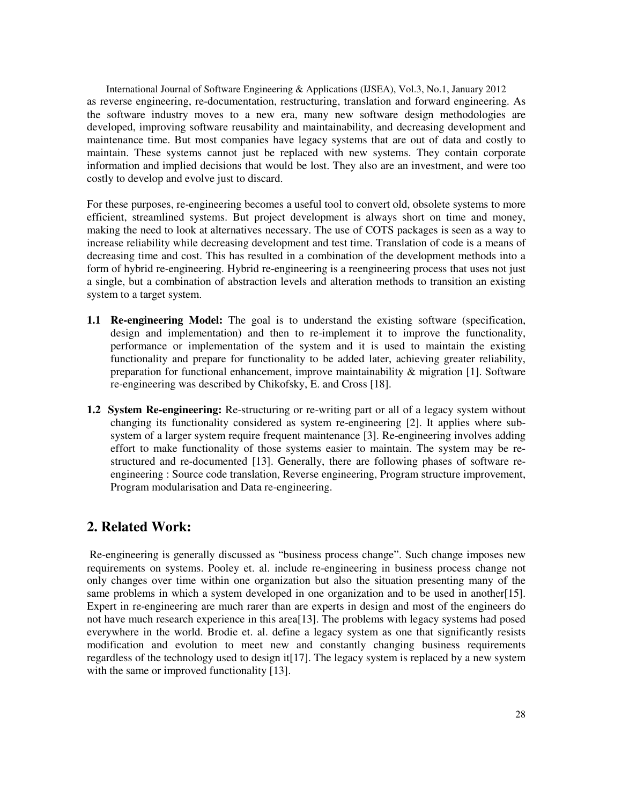International Journal of Software Engineering & Applications (IJSEA), Vol.3, No.1, January 2012 as reverse engineering, re-documentation, restructuring, translation and forward engineering. As the software industry moves to a new era, many new software design methodologies are developed, improving software reusability and maintainability, and decreasing development and maintenance time. But most companies have legacy systems that are out of data and costly to maintain. These systems cannot just be replaced with new systems. They contain corporate information and implied decisions that would be lost. They also are an investment, and were too costly to develop and evolve just to discard.

For these purposes, re-engineering becomes a useful tool to convert old, obsolete systems to more efficient, streamlined systems. But project development is always short on time and money, making the need to look at alternatives necessary. The use of COTS packages is seen as a way to increase reliability while decreasing development and test time. Translation of code is a means of decreasing time and cost. This has resulted in a combination of the development methods into a form of hybrid re-engineering. Hybrid re-engineering is a reengineering process that uses not just a single, but a combination of abstraction levels and alteration methods to transition an existing system to a target system.

- **1.1 Re-engineering Model:** The goal is to understand the existing software (specification, design and implementation) and then to re-implement it to improve the functionality, performance or implementation of the system and it is used to maintain the existing functionality and prepare for functionality to be added later, achieving greater reliability, preparation for functional enhancement, improve maintainability & migration [1]. Software re-engineering was described by Chikofsky, E. and Cross [18].
- **1.2 System Re-engineering:** Re-structuring or re-writing part or all of a legacy system without changing its functionality considered as system re-engineering [2]. It applies where subsystem of a larger system require frequent maintenance [3]. Re-engineering involves adding effort to make functionality of those systems easier to maintain. The system may be restructured and re-documented [13]. Generally, there are following phases of software reengineering : Source code translation, Reverse engineering, Program structure improvement, Program modularisation and Data re-engineering.

# **2. Related Work:**

Re-engineering is generally discussed as "business process change". Such change imposes new requirements on systems. Pooley et. al. include re-engineering in business process change not only changes over time within one organization but also the situation presenting many of the same problems in which a system developed in one organization and to be used in another[15]. Expert in re-engineering are much rarer than are experts in design and most of the engineers do not have much research experience in this area[13]. The problems with legacy systems had posed everywhere in the world. Brodie et. al. define a legacy system as one that significantly resists modification and evolution to meet new and constantly changing business requirements regardless of the technology used to design it[17]. The legacy system is replaced by a new system with the same or improved functionality [13].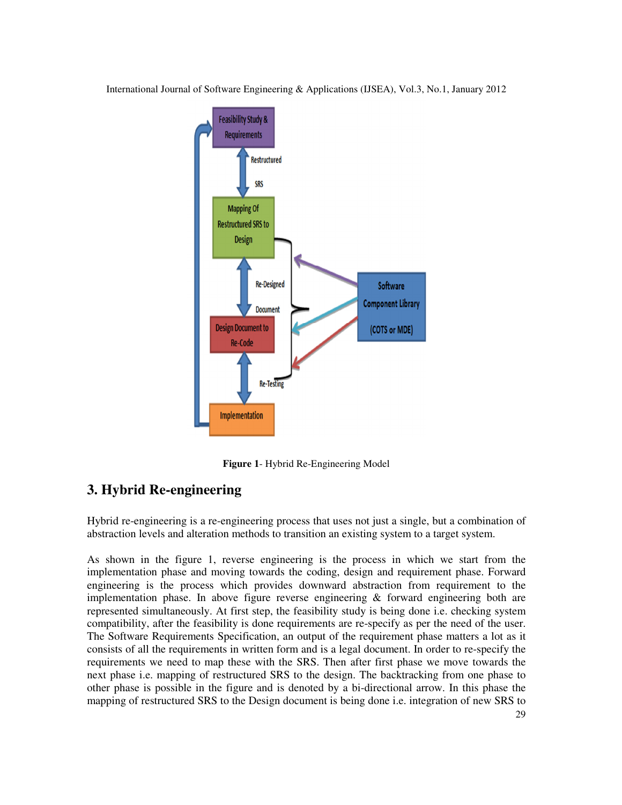

**Figure 1**- Hybrid Re-Engineering Model

# **3. Hybrid Re-engineering**

Hybrid re-engineering is a re-engineering process that uses not just a single, but a combination of abstraction levels and alteration methods to transition an existing system to a target system.

As shown in the figure 1, reverse engineering is the process in which we start from the implementation phase and moving towards the coding, design and requirement phase. Forward engineering is the process which provides downward abstraction from requirement to the implementation phase. In above figure reverse engineering & forward engineering both are represented simultaneously. At first step, the feasibility study is being done i.e. checking system compatibility, after the feasibility is done requirements are re-specify as per the need of the user. The Software Requirements Specification, an output of the requirement phase matters a lot as it consists of all the requirements in written form and is a legal document. In order to re-specify the requirements we need to map these with the SRS. Then after first phase we move towards the next phase i.e. mapping of restructured SRS to the design. The backtracking from one phase to other phase is possible in the figure and is denoted by a bi-directional arrow. In this phase the mapping of restructured SRS to the Design document is being done i.e. integration of new SRS to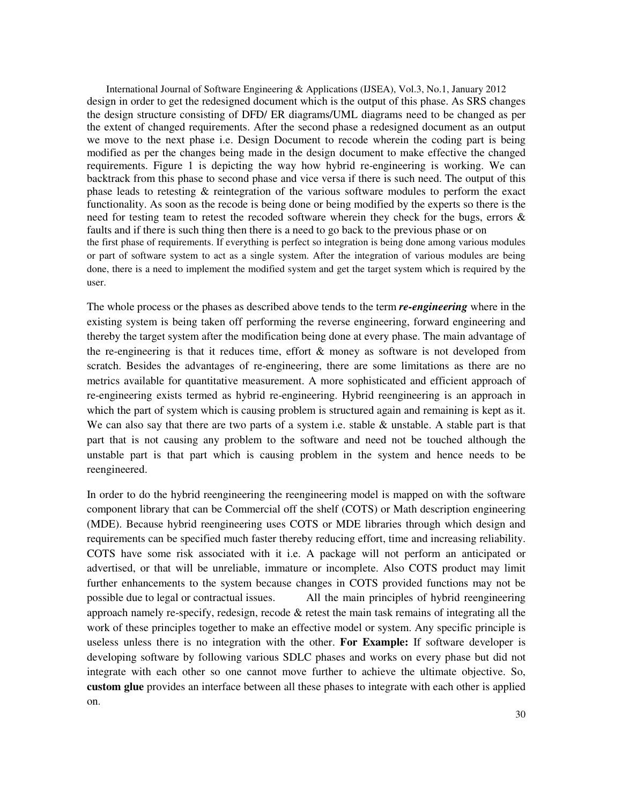International Journal of Software Engineering & Applications (IJSEA), Vol.3, No.1, January 2012 design in order to get the redesigned document which is the output of this phase. As SRS changes the design structure consisting of DFD/ ER diagrams/UML diagrams need to be changed as per the extent of changed requirements. After the second phase a redesigned document as an output we move to the next phase i.e. Design Document to recode wherein the coding part is being modified as per the changes being made in the design document to make effective the changed requirements. Figure 1 is depicting the way how hybrid re-engineering is working. We can backtrack from this phase to second phase and vice versa if there is such need. The output of this phase leads to retesting & reintegration of the various software modules to perform the exact functionality. As soon as the recode is being done or being modified by the experts so there is the need for testing team to retest the recoded software wherein they check for the bugs, errors & faults and if there is such thing then there is a need to go back to the previous phase or on the first phase of requirements. If everything is perfect so integration is being done among various modules or part of software system to act as a single system. After the integration of various modules are being done, there is a need to implement the modified system and get the target system which is required by the user.

The whole process or the phases as described above tends to the term *re-engineering* where in the existing system is being taken off performing the reverse engineering, forward engineering and thereby the target system after the modification being done at every phase. The main advantage of the re-engineering is that it reduces time, effort  $\&$  money as software is not developed from scratch. Besides the advantages of re-engineering, there are some limitations as there are no metrics available for quantitative measurement. A more sophisticated and efficient approach of re-engineering exists termed as hybrid re-engineering. Hybrid reengineering is an approach in which the part of system which is causing problem is structured again and remaining is kept as it. We can also say that there are two parts of a system i.e. stable  $\&$  unstable. A stable part is that part that is not causing any problem to the software and need not be touched although the unstable part is that part which is causing problem in the system and hence needs to be reengineered.

In order to do the hybrid reengineering the reengineering model is mapped on with the software component library that can be Commercial off the shelf (COTS) or Math description engineering (MDE). Because hybrid reengineering uses COTS or MDE libraries through which design and requirements can be specified much faster thereby reducing effort, time and increasing reliability. COTS have some risk associated with it i.e. A package will not perform an anticipated or advertised, or that will be unreliable, immature or incomplete. Also COTS product may limit further enhancements to the system because changes in COTS provided functions may not be possible due to legal or contractual issues. All the main principles of hybrid reengineering approach namely re-specify, redesign, recode & retest the main task remains of integrating all the work of these principles together to make an effective model or system. Any specific principle is useless unless there is no integration with the other. **For Example:** If software developer is developing software by following various SDLC phases and works on every phase but did not integrate with each other so one cannot move further to achieve the ultimate objective. So, **custom glue** provides an interface between all these phases to integrate with each other is applied on.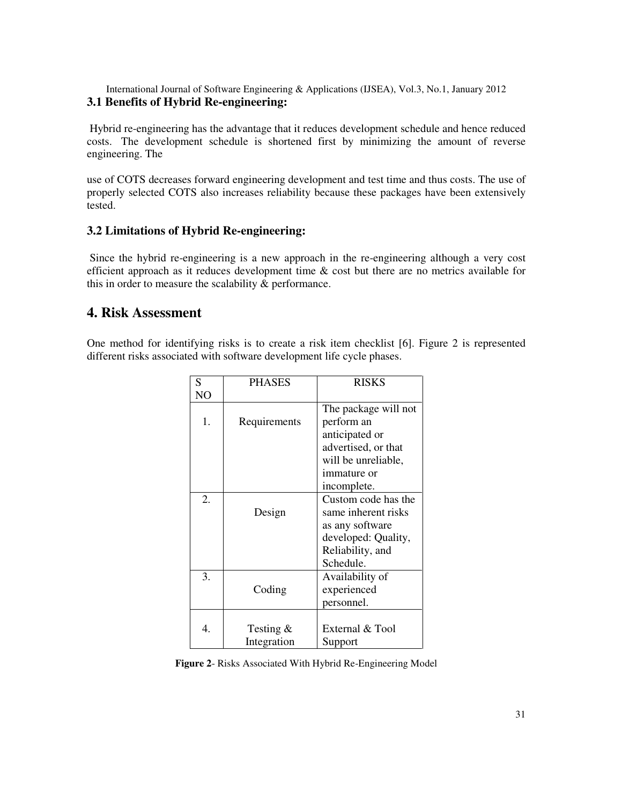International Journal of Software Engineering & Applications (IJSEA), Vol.3, No.1, January 2012 **3.1 Benefits of Hybrid Re-engineering:** 

 Hybrid re-engineering has the advantage that it reduces development schedule and hence reduced costs. The development schedule is shortened first by minimizing the amount of reverse engineering. The

use of COTS decreases forward engineering development and test time and thus costs. The use of properly selected COTS also increases reliability because these packages have been extensively tested.

#### **3.2 Limitations of Hybrid Re-engineering:**

Since the hybrid re-engineering is a new approach in the re-engineering although a very cost efficient approach as it reduces development time & cost but there are no metrics available for this in order to measure the scalability & performance.

#### **4. Risk Assessment**

One method for identifying risks is to create a risk item checklist [6]. Figure 2 is represented different risks associated with software development life cycle phases.

| S  | <b>PHASES</b> | <b>RISKS</b>         |
|----|---------------|----------------------|
| NO |               |                      |
|    |               | The package will not |
| 1. | Requirements  | perform an           |
|    |               | anticipated or       |
|    |               | advertised, or that  |
|    |               | will be unreliable,  |
|    |               | immature or          |
|    |               | incomplete.          |
| 2. |               | Custom code has the  |
|    | Design        | same inherent risks  |
|    |               | as any software      |
|    |               | developed: Quality,  |
|    |               | Reliability, and     |
|    |               | Schedule.            |
| 3. |               | Availability of      |
|    | Coding        | experienced          |
|    |               | personnel.           |
|    |               |                      |
| 4. | Testing $\&$  | External & Tool      |
|    | Integration   | Support              |

**Figure 2**- Risks Associated With Hybrid Re-Engineering Model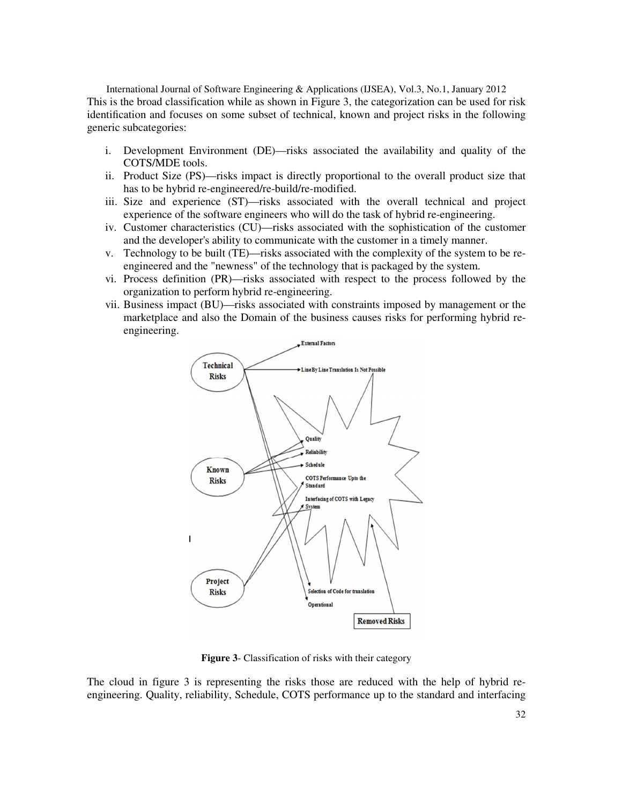International Journal of Software Engineering & Applications (IJSEA), Vol.3, No.1, January 2012 This is the broad classification while as shown in Figure 3, the categorization can be used for risk identification and focuses on some subset of technical, known and project risks in the following generic subcategories:

- i. Development Environment (DE)—risks associated the availability and quality of the COTS/MDE tools.
- ii. Product Size (PS)—risks impact is directly proportional to the overall product size that has to be hybrid re-engineered/re-build/re-modified.
- iii. Size and experience (ST)—risks associated with the overall technical and project experience of the software engineers who will do the task of hybrid re-engineering.
- iv. Customer characteristics (CU)—risks associated with the sophistication of the customer and the developer's ability to communicate with the customer in a timely manner.
- v. Technology to be built (TE)—risks associated with the complexity of the system to be reengineered and the "newness" of the technology that is packaged by the system.
- vi. Process definition (PR)—risks associated with respect to the process followed by the organization to perform hybrid re-engineering.
- vii. Business impact (BU)—risks associated with constraints imposed by management or the marketplace and also the Domain of the business causes risks for performing hybrid reengineering.



**Figure 3**- Classification of risks with their category

The cloud in figure 3 is representing the risks those are reduced with the help of hybrid reengineering. Quality, reliability, Schedule, COTS performance up to the standard and interfacing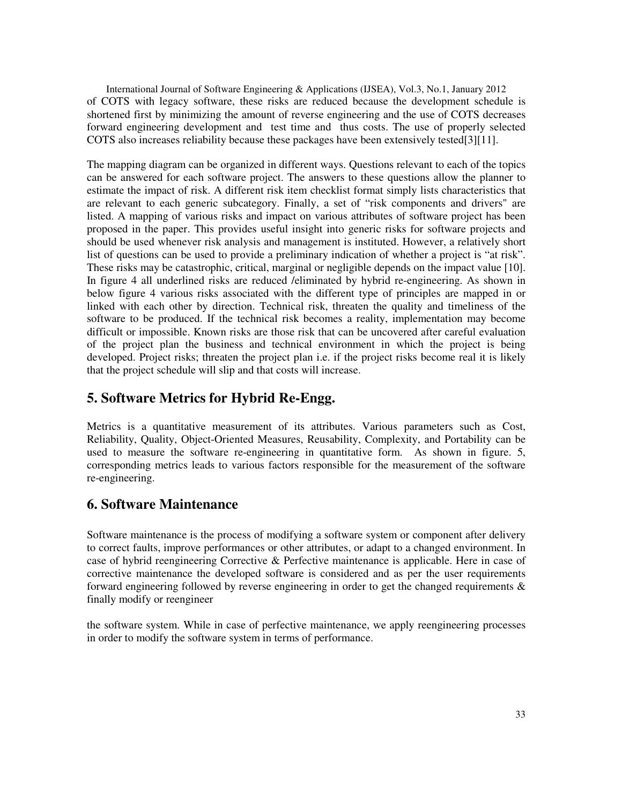International Journal of Software Engineering & Applications (IJSEA), Vol.3, No.1, January 2012 of COTS with legacy software, these risks are reduced because the development schedule is shortened first by minimizing the amount of reverse engineering and the use of COTS decreases forward engineering development and test time and thus costs. The use of properly selected COTS also increases reliability because these packages have been extensively tested[3][11].

The mapping diagram can be organized in different ways. Questions relevant to each of the topics can be answered for each software project. The answers to these questions allow the planner to estimate the impact of risk. A different risk item checklist format simply lists characteristics that are relevant to each generic subcategory. Finally, a set of "risk components and drivers" are listed. A mapping of various risks and impact on various attributes of software project has been proposed in the paper. This provides useful insight into generic risks for software projects and should be used whenever risk analysis and management is instituted. However, a relatively short list of questions can be used to provide a preliminary indication of whether a project is "at risk". These risks may be catastrophic, critical, marginal or negligible depends on the impact value [10]. In figure 4 all underlined risks are reduced /eliminated by hybrid re-engineering. As shown in below figure 4 various risks associated with the different type of principles are mapped in or linked with each other by direction. Technical risk, threaten the quality and timeliness of the software to be produced. If the technical risk becomes a reality, implementation may become difficult or impossible. Known risks are those risk that can be uncovered after careful evaluation of the project plan the business and technical environment in which the project is being developed. Project risks; threaten the project plan i.e. if the project risks become real it is likely that the project schedule will slip and that costs will increase.

# **5. Software Metrics for Hybrid Re-Engg.**

Metrics is a quantitative measurement of its attributes. Various parameters such as Cost, Reliability, Quality, Object-Oriented Measures, Reusability, Complexity, and Portability can be used to measure the software re-engineering in quantitative form. As shown in figure. 5, corresponding metrics leads to various factors responsible for the measurement of the software re-engineering.

# **6. Software Maintenance**

Software maintenance is the process of modifying a software system or component after delivery to correct faults, improve performances or other attributes, or adapt to a changed environment. In case of hybrid reengineering Corrective & Perfective maintenance is applicable. Here in case of corrective maintenance the developed software is considered and as per the user requirements forward engineering followed by reverse engineering in order to get the changed requirements  $\&$ finally modify or reengineer

the software system. While in case of perfective maintenance, we apply reengineering processes in order to modify the software system in terms of performance.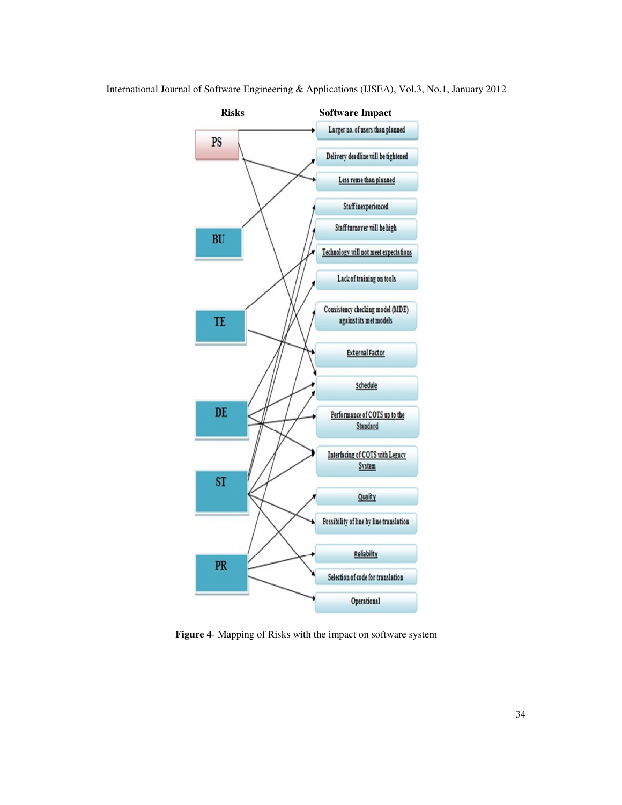

**Figure 4**- Mapping of Risks with the impact on software system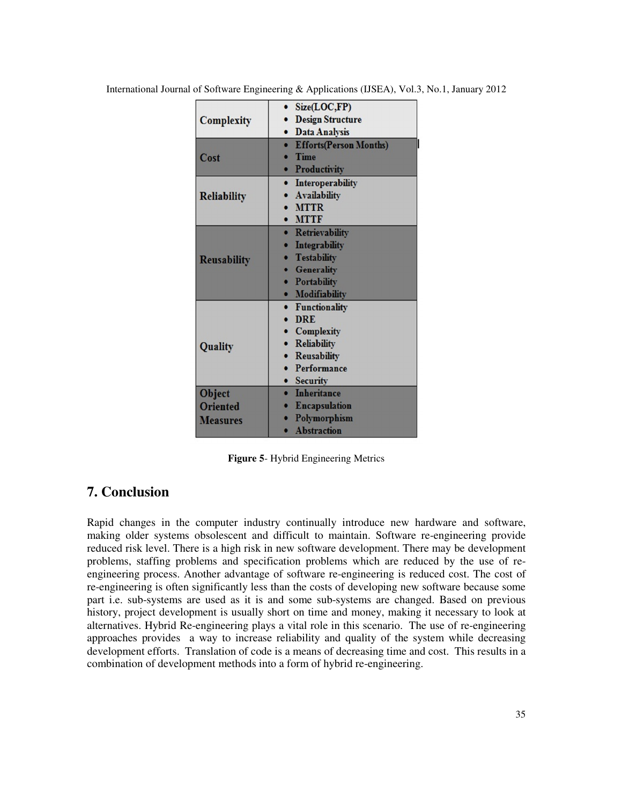|                    | Size(LOC,FP)<br>٠             |
|--------------------|-------------------------------|
| <b>Complexity</b>  | <b>Design Structure</b>       |
|                    | <b>Data Analysis</b>          |
|                    | <b>Efforts(Person Months)</b> |
| Cost               | <b>Time</b>                   |
|                    | Productivity                  |
|                    | Interoperability<br>$\bullet$ |
| Reliability        | <b>Availability</b>           |
|                    | <b>MTTR</b>                   |
|                    | <b>MTTF</b>                   |
|                    | · Retrievability              |
|                    | <b>Integrability</b>          |
| <b>Reusability</b> | <b>Testability</b>            |
|                    | <b>Generality</b>             |
|                    | • Portability                 |
|                    | <b>Modifiability</b>          |
|                    | • Functionality               |
|                    | <b>DRE</b>                    |
|                    | <b>Complexity</b>             |
| Quality            | • Reliability                 |
|                    | Reusability                   |
|                    | Performance                   |
|                    | <b>Security</b>               |
| Object             | <b>Inheritance</b>            |
| <b>Oriented</b>    | <b>Encapsulation</b>          |
| <b>Measures</b>    | Polymorphism                  |
|                    | <b>A</b> hstraction           |

**Figure 5**- Hybrid Engineering Metrics

## **7. Conclusion**

Rapid changes in the computer industry continually introduce new hardware and software, making older systems obsolescent and difficult to maintain. Software re-engineering provide reduced risk level. There is a high risk in new software development. There may be development problems, staffing problems and specification problems which are reduced by the use of reengineering process. Another advantage of software re-engineering is reduced cost. The cost of re-engineering is often significantly less than the costs of developing new software because some part i.e. sub-systems are used as it is and some sub-systems are changed. Based on previous history, project development is usually short on time and money, making it necessary to look at alternatives. Hybrid Re-engineering plays a vital role in this scenario. The use of re-engineering approaches provides a way to increase reliability and quality of the system while decreasing development efforts. Translation of code is a means of decreasing time and cost. This results in a combination of development methods into a form of hybrid re-engineering.